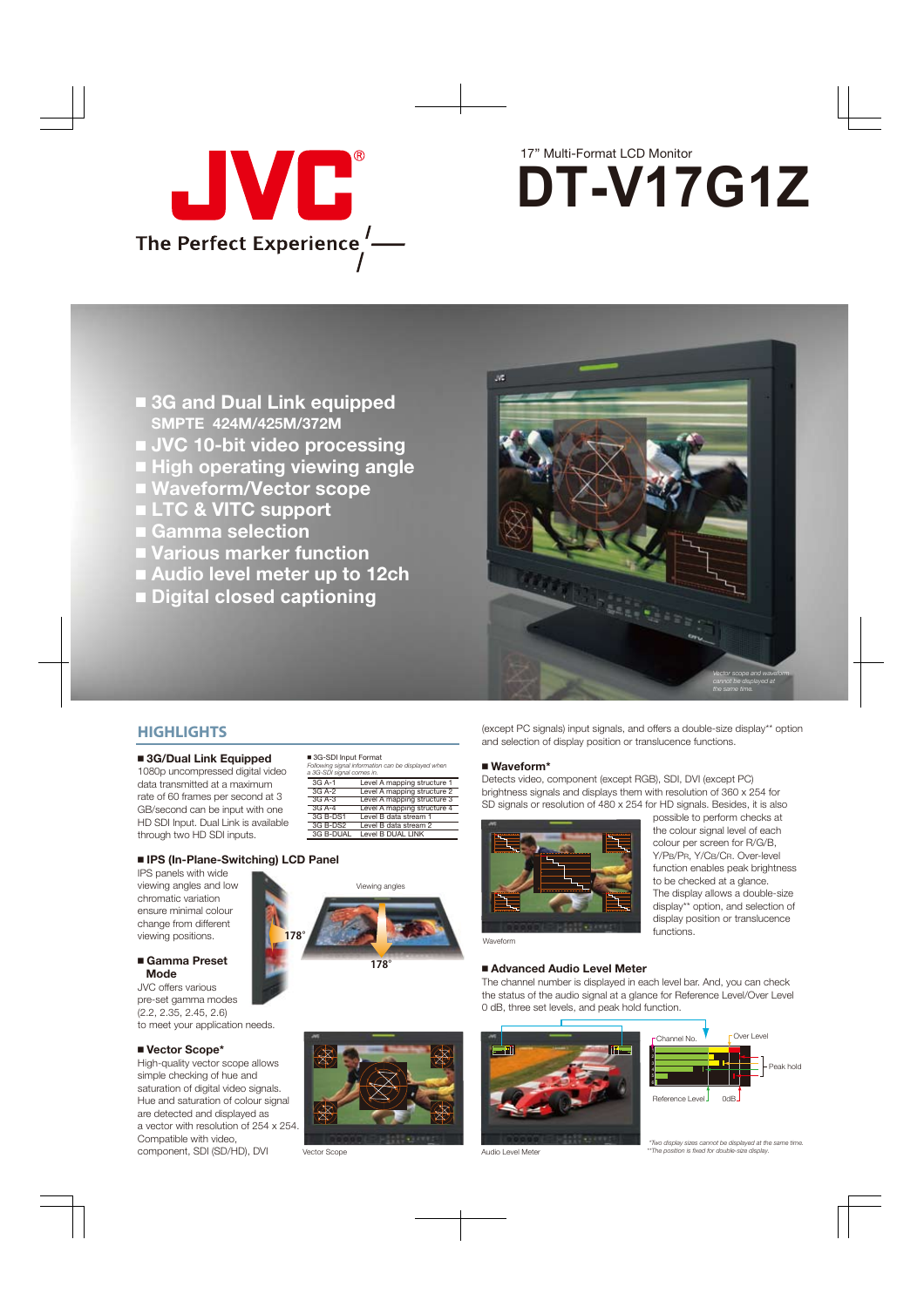

# 17" Multi-Format LCD Monitor **DT-V17G1Z**

- **3G and Dual Link equipped SMPTE 424M/425M/372M**
- JVC 10-bit video processing
- **High operating viewing angle**
- **Waveform/Vector scope**
- **LTC & VITC support**
- **Gamma selection**
- **Various marker function**
- **Audio level meter up to 12ch**
- **Digital closed captioning**



#### **HIGHLIGHTS**

#### **3G/Dual Link Equipped**

1080p uncompressed digital video data transmitted at a maximum rate of 60 frames per second at 3 GB/second can be input with one HD SDI Input. Dual Link is available through two HD SDI inputs.

| ■ 3G-SDI Input Format<br>a 3G-SDI signal comes in. | Following signal information can be displayed when |
|----------------------------------------------------|----------------------------------------------------|
| 3G A-1                                             | Level A mapping structure 1                        |
| $3G$ A-2                                           | Level A mapping structure 2                        |
| $3G$ A-3                                           | Level A mapping structure 3                        |
| $3G$ A-4                                           | Level A mapping structure 4                        |
| 3G B-DS1                                           | Level B data stream 1                              |
| 3G B-DS2                                           | Level B data stream 2                              |
| 3G B-DUAL                                          | Level B DUAL LINK                                  |

#### **IPS (In-Plane-Switching) LCD Panel**

IPS panels with wide viewing angles and low chromatic variation ensure minimal colour change from different viewing positions.

#### **Gamma Preset Mode**

JVC offers various pre-set gamma modes (2.2, 2.35, 2.45, 2.6) to meet your application needs.

#### **Vector Scope\***

High-quality vector scope allows simple checking of hue and saturation of digital video signals. Hue and saturation of colour signal are detected and displayed as a vector with resolution of 254 x 254. Compatible with video, component, SDI (SD/HD), DVI



(except PC signals) input signals, and offers a double-size display\*\* option and selection of display position or translucence functions.

#### **Waveform\***

Detects video, component (except RGB), SDI, DVI (except PC) brightness signals and displays them with resolution of 360 x 254 for SD signals or resolution of 480 x 254 for HD signals. Besides, it is also



possible to perform checks at the colour signal level of each colour per screen for R/G/B, Y/PB/PR, Y/CB/CR. Over-level function enables peak brightness to be checked at a glance. The display allows a double-size display\*\* option, and selection of display position or translucence functions.

#### Waveform

#### **Advanced Audio Level Meter**

The channel number is displayed in each level bar. And, you can check the status of the audio signal at a glance for Reference Level/Over Level 0 dB, three set levels, and peak hold function.



Vector Scope



Audio Level Meter



 *\*Two display sizes cannot be displayed at the same time. \*\*The position is fixed for double-size display.*